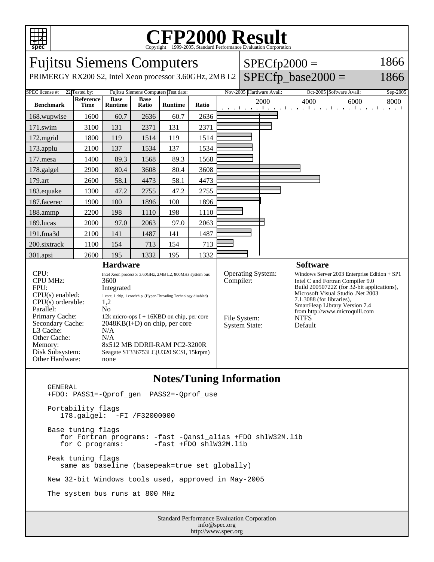

## C<sub>opyright</sub> ©1999-2005, Standard Performance Evaluation Corporation

| <b>Fujitsu Siemens Computers</b><br>PRIMERGY RX200 S2, Intel Xeon processor 3.60GHz, 2MB L2                                                                                                                                                                                                                                                                                                                                                                        |                   |                               |                      |                |                                                                |                                | $SPECfp2000 =$<br>$SPECfp\_base2000 =$ | 1866<br>1866                                                                                                                                                                                                        |                                                                             |          |
|--------------------------------------------------------------------------------------------------------------------------------------------------------------------------------------------------------------------------------------------------------------------------------------------------------------------------------------------------------------------------------------------------------------------------------------------------------------------|-------------------|-------------------------------|----------------------|----------------|----------------------------------------------------------------|--------------------------------|----------------------------------------|---------------------------------------------------------------------------------------------------------------------------------------------------------------------------------------------------------------------|-----------------------------------------------------------------------------|----------|
| Fujitsu Siemens Computers Test date:<br>SPEC license #:<br>22 Tested by:                                                                                                                                                                                                                                                                                                                                                                                           |                   |                               |                      |                |                                                                |                                |                                        | Nov-2005 Hardware Avail:                                                                                                                                                                                            | Oct-2005 Software Avail:                                                    | Sep-2005 |
| <b>Benchmark</b>                                                                                                                                                                                                                                                                                                                                                                                                                                                   | Reference<br>Time | <b>Base</b><br><b>Runtime</b> | <b>Base</b><br>Ratio | <b>Runtime</b> | <b>Ratio</b>                                                   |                                |                                        | 2000                                                                                                                                                                                                                | 4000<br>6000<br>and the and the anti-transition of the and the anti-transit | 8000     |
| 168.wupwise                                                                                                                                                                                                                                                                                                                                                                                                                                                        | 1600              | 60.7                          | 2636                 | 60.7           | 2636                                                           |                                |                                        |                                                                                                                                                                                                                     |                                                                             |          |
| 171.swim                                                                                                                                                                                                                                                                                                                                                                                                                                                           | 3100              | 131                           | 2371                 | 131            | 2371                                                           |                                |                                        |                                                                                                                                                                                                                     |                                                                             |          |
| 172.mgrid                                                                                                                                                                                                                                                                                                                                                                                                                                                          | 1800              | 119                           | 1514                 | 119            | 1514                                                           |                                |                                        |                                                                                                                                                                                                                     |                                                                             |          |
| 173.applu                                                                                                                                                                                                                                                                                                                                                                                                                                                          | 2100              | 137                           | 1534                 | 137            | 1534                                                           |                                |                                        |                                                                                                                                                                                                                     |                                                                             |          |
| 177.mesa                                                                                                                                                                                                                                                                                                                                                                                                                                                           | 1400              | 89.3                          | 1568                 | 89.3           | 1568                                                           |                                |                                        |                                                                                                                                                                                                                     |                                                                             |          |
| 178.galgel                                                                                                                                                                                                                                                                                                                                                                                                                                                         | 2900              | 80.4                          | 3608                 | 80.4           | 3608                                                           |                                |                                        |                                                                                                                                                                                                                     |                                                                             |          |
| 179.art                                                                                                                                                                                                                                                                                                                                                                                                                                                            | 2600              | 58.1                          | 4473                 | 58.1           | 4473                                                           |                                |                                        |                                                                                                                                                                                                                     |                                                                             |          |
| 183.equake                                                                                                                                                                                                                                                                                                                                                                                                                                                         | 1300              | 47.2                          | 2755                 | 47.2           | 2755                                                           |                                |                                        |                                                                                                                                                                                                                     |                                                                             |          |
| 187.facerec                                                                                                                                                                                                                                                                                                                                                                                                                                                        | 1900              | 100                           | 1896                 | 100            | 1896                                                           |                                |                                        |                                                                                                                                                                                                                     |                                                                             |          |
| 188.ammp                                                                                                                                                                                                                                                                                                                                                                                                                                                           | 2200              | 198                           | 1110                 | 198            | 1110                                                           |                                |                                        |                                                                                                                                                                                                                     |                                                                             |          |
| 189.lucas                                                                                                                                                                                                                                                                                                                                                                                                                                                          | 2000              | 97.0                          | 2063                 | 97.0           | 2063                                                           |                                |                                        |                                                                                                                                                                                                                     |                                                                             |          |
| 191.fma3d                                                                                                                                                                                                                                                                                                                                                                                                                                                          | 2100              | 141                           | 1487                 | 141            | 1487                                                           |                                |                                        |                                                                                                                                                                                                                     |                                                                             |          |
| 200.sixtrack                                                                                                                                                                                                                                                                                                                                                                                                                                                       | 1100              | 154                           | 713                  | 154            | 713                                                            |                                |                                        |                                                                                                                                                                                                                     |                                                                             |          |
| 301.apsi                                                                                                                                                                                                                                                                                                                                                                                                                                                           | 2600              | 195                           | 1332                 | 195            | 1332                                                           |                                |                                        |                                                                                                                                                                                                                     |                                                                             |          |
| <b>Hardware</b><br>CPU:<br>Intel Xeon processor 3.60GHz, 2MB L2, 800MHz system bus<br><b>CPU MHz:</b><br>3600                                                                                                                                                                                                                                                                                                                                                      |                   |                               |                      |                |                                                                | Operating System:<br>Compiler: |                                        |                                                                                                                                                                                                                     | <b>Software</b><br>Windows Server 2003 Enterprise Edition $+$ SP1           |          |
| FPU:<br>Integrated<br>$CPU(s)$ enabled:<br>1 core, 1 chip, 1 core/chip (Hyper-Threading Technology disabled)<br>$CPU(s)$ orderable:<br>1,2<br>Parallel:<br>No<br>Primary Cache:<br>12k micro-ops $I + 16KBD$ on chip, per core<br>Secondary Cache:<br>$2048KB(I+D)$ on chip, per core<br>L3 Cache:<br>N/A<br>Other Cache:<br>N/A<br>8x512 MB DDRII-RAM PC2-3200R<br>Memory:<br>Disk Subsystem:<br>Seagate ST336753LC(U320 SCSI, 15krpm)<br>Other Hardware:<br>none |                   |                               |                      |                | File System:<br><b>NTFS</b><br>Default<br><b>System State:</b> |                                |                                        | Intel C and Fortran Compiler 9.0<br>Build 20050722Z (for 32-bit applications),<br>Microsoft Visual Studio .Net 2003<br>7.1.3088 (for libraries),<br>SmartHeap Library Version 7.4<br>from http://www.microquill.com |                                                                             |          |

## **Notes/Tuning Information**

 GENERAL +FDO: PASS1=-Qprof\_gen PASS2=-Qprof\_use Portability flags 178.galgel: -FI /F32000000 Base tuning flags for Fortran programs: -fast -Qansi\_alias +FDO shlW32M.lib  $-fast$  +FDO shlW32M.lib Peak tuning flags same as baseline (basepeak=true set globally) New 32-bit Windows tools used, approved in May-2005 The system bus runs at 800 MHz

Standard Performance Evaluation Corporation info@spec.org http://www.spec.org